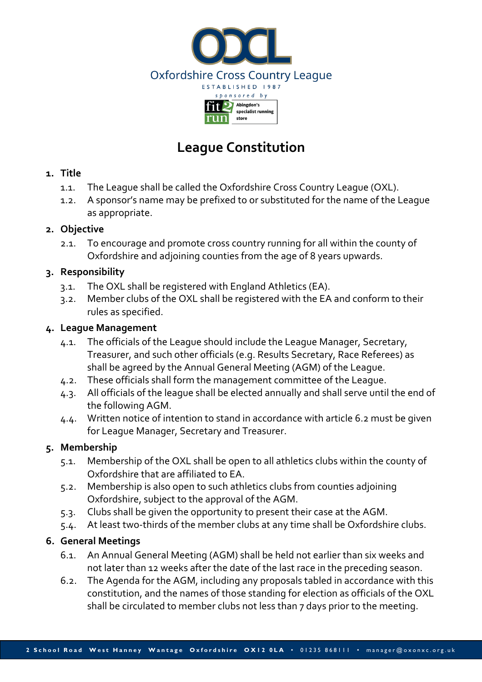

# **League Constitution**

## **1. Title**

- 1.1. The League shall be called the Oxfordshire Cross Country League (OXL).
- 1.2. A sponsor's name may be prefixed to or substituted for the name of the League as appropriate.

## **2. Objective**

2.1. To encourage and promote cross country running for all within the county of Oxfordshire and adjoining counties from the age of 8 years upwards.

## **3. Responsibility**

- 3.1. The OXL shall be registered with England Athletics (EA).
- 3.2. Member clubs of the OXL shall be registered with the EA and conform to their rules as specified.

## **4. League Management**

- 4.1. The officials of the League should include the League Manager, Secretary, Treasurer, and such other officials (e.g. Results Secretary, Race Referees) as shall be agreed by the Annual General Meeting (AGM) of the League.
- 4.2. These officials shall form the management committee of the League.
- 4.3. All officials of the league shall be elected annually and shall serve until the end of the following AGM.
- 4.4. Written notice of intention to stand in accordance with article 6.2 must be given for League Manager, Secretary and Treasurer.

# **5. Membership**

- 5.1. Membership of the OXL shall be open to all athletics clubs within the county of Oxfordshire that are affiliated to EA.
- 5.2. Membership is also open to such athletics clubs from counties adjoining Oxfordshire, subject to the approval of the AGM.
- 5.3. Clubs shall be given the opportunity to present their case at the AGM.
- 5.4. At least two-thirds of the member clubs at any time shall be Oxfordshire clubs.

## **6. General Meetings**

- 6.1. An Annual General Meeting (AGM) shall be held not earlier than six weeks and not later than 12 weeks after the date of the last race in the preceding season.
- 6.2. The Agenda for the AGM, including any proposals tabled in accordance with this constitution, and the names of those standing for election as officials of the OXL shall be circulated to member clubs not less than 7 days prior to the meeting.